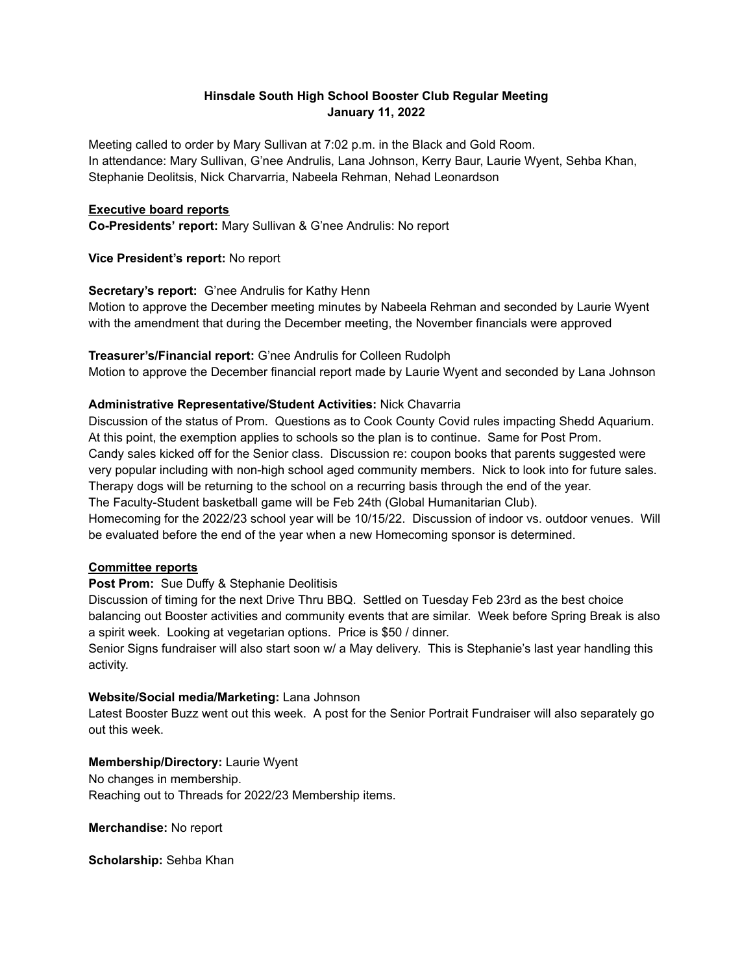### **Hinsdale South High School Booster Club Regular Meeting January 11, 2022**

Meeting called to order by Mary Sullivan at 7:02 p.m. in the Black and Gold Room. In attendance: Mary Sullivan, G'nee Andrulis, Lana Johnson, Kerry Baur, Laurie Wyent, Sehba Khan, Stephanie Deolitsis, Nick Charvarria, Nabeela Rehman, Nehad Leonardson

#### **Executive board reports**

**Co-Presidents' report:** Mary Sullivan & G'nee Andrulis: No report

**Vice President's report:** No report

### **Secretary's report:** G'nee Andrulis for Kathy Henn

Motion to approve the December meeting minutes by Nabeela Rehman and seconded by Laurie Wyent with the amendment that during the December meeting, the November financials were approved

#### **Treasurer's/Financial report:** G'nee Andrulis for Colleen Rudolph

Motion to approve the December financial report made by Laurie Wyent and seconded by Lana Johnson

### **Administrative Representative/Student Activities:** Nick Chavarria

Discussion of the status of Prom. Questions as to Cook County Covid rules impacting Shedd Aquarium. At this point, the exemption applies to schools so the plan is to continue. Same for Post Prom. Candy sales kicked off for the Senior class. Discussion re: coupon books that parents suggested were very popular including with non-high school aged community members. Nick to look into for future sales. Therapy dogs will be returning to the school on a recurring basis through the end of the year. The Faculty-Student basketball game will be Feb 24th (Global Humanitarian Club). Homecoming for the 2022/23 school year will be 10/15/22. Discussion of indoor vs. outdoor venues. Will be evaluated before the end of the year when a new Homecoming sponsor is determined.

# **Committee reports**

#### **Post Prom:** Sue Duffy & Stephanie Deolitisis

Discussion of timing for the next Drive Thru BBQ. Settled on Tuesday Feb 23rd as the best choice balancing out Booster activities and community events that are similar. Week before Spring Break is also a spirit week. Looking at vegetarian options. Price is \$50 / dinner.

Senior Signs fundraiser will also start soon w/ a May delivery. This is Stephanie's last year handling this activity.

# **Website/Social media/Marketing:** Lana Johnson

Latest Booster Buzz went out this week. A post for the Senior Portrait Fundraiser will also separately go out this week.

# **Membership/Directory:** Laurie Wyent

No changes in membership. Reaching out to Threads for 2022/23 Membership items.

**Merchandise:** No report

**Scholarship:** Sehba Khan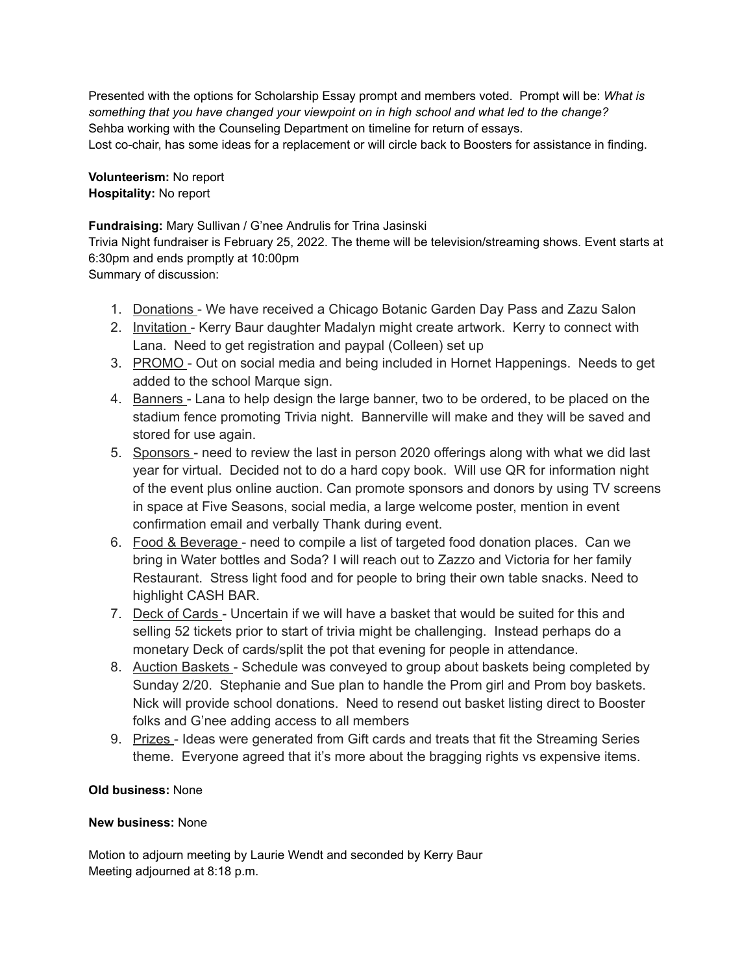Presented with the options for Scholarship Essay prompt and members voted. Prompt will be: *What is something that you have changed your viewpoint on in high school and what led to the change?* Sehba working with the Counseling Department on timeline for return of essays. Lost co-chair, has some ideas for a replacement or will circle back to Boosters for assistance in finding.

**Volunteerism:** No report **Hospitality:** No report

**Fundraising:** Mary Sullivan / G'nee Andrulis for Trina Jasinski

Trivia Night fundraiser is February 25, 2022. The theme will be television/streaming shows. Event starts at 6:30pm and ends promptly at 10:00pm

Summary of discussion:

- 1. Donations We have received a Chicago Botanic Garden Day Pass and Zazu Salon
- 2. Invitation Kerry Baur daughter Madalyn might create artwork. Kerry to connect with Lana. Need to get registration and paypal (Colleen) set up
- 3. PROMO Out on social media and being included in Hornet Happenings. Needs to get added to the school Marque sign.
- 4. Banners Lana to help design the large banner, two to be ordered, to be placed on the stadium fence promoting Trivia night. Bannerville will make and they will be saved and stored for use again.
- 5. Sponsors need to review the last in person 2020 offerings along with what we did last year for virtual. Decided not to do a hard copy book. Will use QR for information night of the event plus online auction. Can promote sponsors and donors by using TV screens in space at Five Seasons, social media, a large welcome poster, mention in event confirmation email and verbally Thank during event.
- 6. Food & Beverage need to compile a list of targeted food donation places. Can we bring in Water bottles and Soda? I will reach out to Zazzo and Victoria for her family Restaurant. Stress light food and for people to bring their own table snacks. Need to highlight CASH BAR.
- 7. Deck of Cards Uncertain if we will have a basket that would be suited for this and selling 52 tickets prior to start of trivia might be challenging. Instead perhaps do a monetary Deck of cards/split the pot that evening for people in attendance.
- 8. Auction Baskets Schedule was conveyed to group about baskets being completed by Sunday 2/20. Stephanie and Sue plan to handle the Prom girl and Prom boy baskets. Nick will provide school donations. Need to resend out basket listing direct to Booster folks and G'nee adding access to all members
- 9. Prizes Ideas were generated from Gift cards and treats that fit the Streaming Series theme. Everyone agreed that it's more about the bragging rights vs expensive items.

# **Old business:** None

#### **New business:** None

Motion to adjourn meeting by Laurie Wendt and seconded by Kerry Baur Meeting adjourned at 8:18 p.m.